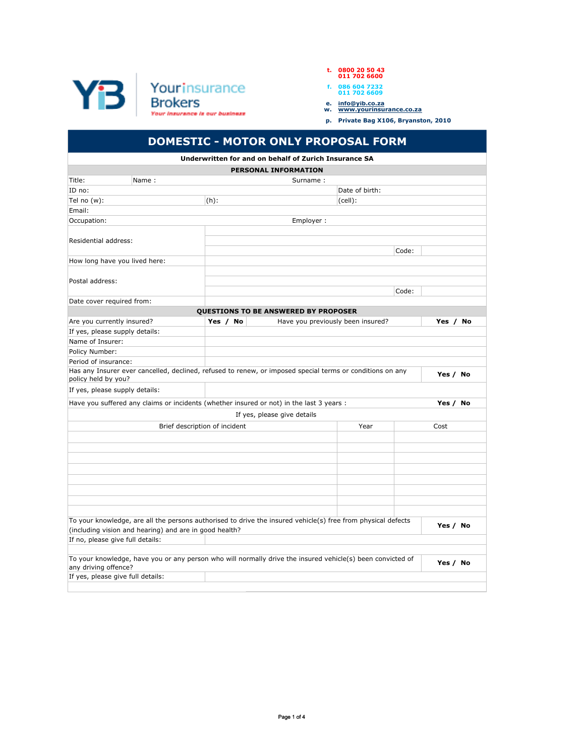

## **t. 0800 20 50 43 011 702 6600**

| f. |  | 086 604 7232 |
|----|--|--------------|
|    |  | 011 702 6609 |

- 
- **e. info@yib.co.za w. www.yourinsurance.co.za**
- **p. Private Bag X106, Bryanston, 2010**

## **DOMESTIC - MOTOR ONLY PROPOSAL FORM**

|                                                                                                                                    |                               | Underwritten for and on behalf of Zurich Insurance SA |                |          |  |  |
|------------------------------------------------------------------------------------------------------------------------------------|-------------------------------|-------------------------------------------------------|----------------|----------|--|--|
|                                                                                                                                    |                               | <b>PERSONAL INFORMATION</b>                           |                |          |  |  |
| Title:<br>Name:                                                                                                                    |                               | Surname:                                              |                |          |  |  |
| ID no:                                                                                                                             |                               |                                                       | Date of birth: |          |  |  |
| Tel no (w):                                                                                                                        | $(h)$ :                       |                                                       | $(cell)$ :     |          |  |  |
| Email:                                                                                                                             |                               |                                                       |                |          |  |  |
| Occupation:                                                                                                                        |                               | Employer:                                             |                |          |  |  |
|                                                                                                                                    |                               |                                                       |                |          |  |  |
| Residential address:                                                                                                               |                               |                                                       |                |          |  |  |
|                                                                                                                                    |                               |                                                       | Code:          |          |  |  |
| How long have you lived here:                                                                                                      |                               |                                                       |                |          |  |  |
|                                                                                                                                    |                               |                                                       |                |          |  |  |
| Postal address:                                                                                                                    |                               |                                                       |                |          |  |  |
|                                                                                                                                    |                               |                                                       | Code:          |          |  |  |
| Date cover required from:                                                                                                          |                               |                                                       |                |          |  |  |
|                                                                                                                                    |                               | QUESTIONS TO BE ANSWERED BY PROPOSER                  |                |          |  |  |
| Are you currently insured?                                                                                                         | Yes / No                      | Have you previously been insured?                     |                | Yes / No |  |  |
| If yes, please supply details:                                                                                                     |                               |                                                       |                |          |  |  |
| Name of Insurer:                                                                                                                   |                               |                                                       |                |          |  |  |
| Policy Number:                                                                                                                     |                               |                                                       |                |          |  |  |
| Period of insurance:                                                                                                               |                               |                                                       |                |          |  |  |
| Has any Insurer ever cancelled, declined, refused to renew, or imposed special terms or conditions on any<br>policy held by you?   |                               |                                                       |                | Yes / No |  |  |
| If yes, please supply details:                                                                                                     |                               |                                                       |                |          |  |  |
| Have you suffered any claims or incidents (whether insured or not) in the last 3 years :                                           |                               |                                                       |                | Yes / No |  |  |
|                                                                                                                                    |                               | If yes, please give details                           |                |          |  |  |
|                                                                                                                                    | Brief description of incident |                                                       | Year           | Cost     |  |  |
|                                                                                                                                    |                               |                                                       |                |          |  |  |
|                                                                                                                                    |                               |                                                       |                |          |  |  |
|                                                                                                                                    |                               |                                                       |                |          |  |  |
|                                                                                                                                    |                               |                                                       |                |          |  |  |
|                                                                                                                                    |                               |                                                       |                |          |  |  |
|                                                                                                                                    |                               |                                                       |                |          |  |  |
|                                                                                                                                    |                               |                                                       |                |          |  |  |
|                                                                                                                                    |                               |                                                       |                |          |  |  |
| To your knowledge, are all the persons authorised to drive the insured vehicle(s) free from physical defects                       |                               |                                                       |                |          |  |  |
| (including vision and hearing) and are in good health?                                                                             |                               |                                                       |                | Yes / No |  |  |
| If no, please give full details:                                                                                                   |                               |                                                       |                |          |  |  |
|                                                                                                                                    |                               |                                                       |                |          |  |  |
| To your knowledge, have you or any person who will normally drive the insured vehicle(s) been convicted of<br>any driving offence? |                               |                                                       |                | Yes / No |  |  |
| If yes, please give full details:                                                                                                  |                               |                                                       |                |          |  |  |
|                                                                                                                                    |                               |                                                       |                |          |  |  |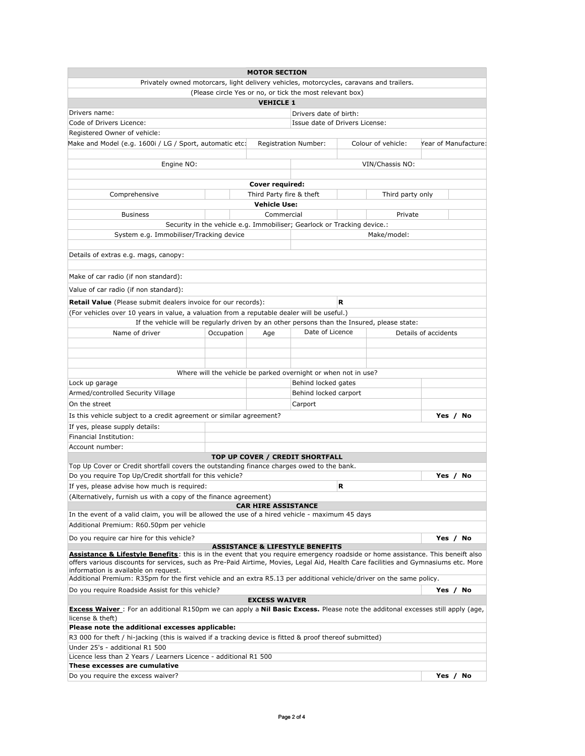| <b>MOTOR SECTION</b>                                                                                                                                                                                                                                                   |            |                                                                         |                        |   |                    |                      |  |  |
|------------------------------------------------------------------------------------------------------------------------------------------------------------------------------------------------------------------------------------------------------------------------|------------|-------------------------------------------------------------------------|------------------------|---|--------------------|----------------------|--|--|
| Privately owned motorcars, light delivery vehicles, motorcycles, caravans and trailers.                                                                                                                                                                                |            |                                                                         |                        |   |                    |                      |  |  |
|                                                                                                                                                                                                                                                                        |            | (Please circle Yes or no, or tick the most relevant box)                |                        |   |                    |                      |  |  |
|                                                                                                                                                                                                                                                                        |            | <b>VEHICLE 1</b>                                                        |                        |   |                    |                      |  |  |
| Drivers name:                                                                                                                                                                                                                                                          |            |                                                                         | Drivers date of birth: |   |                    |                      |  |  |
| Issue date of Drivers License:<br>Code of Drivers Licence:                                                                                                                                                                                                             |            |                                                                         |                        |   |                    |                      |  |  |
| Registered Owner of vehicle:                                                                                                                                                                                                                                           |            |                                                                         |                        |   |                    |                      |  |  |
| Make and Model (e.g. 1600i / LG / Sport, automatic etc:                                                                                                                                                                                                                |            |                                                                         | Registration Number:   |   | Colour of vehicle: | Year of Manufacture: |  |  |
|                                                                                                                                                                                                                                                                        |            |                                                                         |                        |   |                    |                      |  |  |
| Engine NO:                                                                                                                                                                                                                                                             |            |                                                                         |                        |   | VIN/Chassis NO:    |                      |  |  |
|                                                                                                                                                                                                                                                                        |            |                                                                         |                        |   |                    |                      |  |  |
|                                                                                                                                                                                                                                                                        |            | Cover required:                                                         |                        |   |                    |                      |  |  |
|                                                                                                                                                                                                                                                                        |            |                                                                         |                        |   |                    |                      |  |  |
| Comprehensive                                                                                                                                                                                                                                                          |            | Third Party fire & theft                                                |                        |   | Third party only   |                      |  |  |
|                                                                                                                                                                                                                                                                        |            | <b>Vehicle Use:</b>                                                     |                        |   |                    |                      |  |  |
| <b>Business</b>                                                                                                                                                                                                                                                        |            | Commercial                                                              |                        |   | Private            |                      |  |  |
|                                                                                                                                                                                                                                                                        |            | Security in the vehicle e.g. Immobiliser; Gearlock or Tracking device.: |                        |   |                    |                      |  |  |
| System e.g. Immobiliser/Tracking device                                                                                                                                                                                                                                |            |                                                                         |                        |   | Make/model:        |                      |  |  |
|                                                                                                                                                                                                                                                                        |            |                                                                         |                        |   |                    |                      |  |  |
| Details of extras e.g. mags, canopy:                                                                                                                                                                                                                                   |            |                                                                         |                        |   |                    |                      |  |  |
|                                                                                                                                                                                                                                                                        |            |                                                                         |                        |   |                    |                      |  |  |
| Make of car radio (if non standard):                                                                                                                                                                                                                                   |            |                                                                         |                        |   |                    |                      |  |  |
| Value of car radio (if non standard):                                                                                                                                                                                                                                  |            |                                                                         |                        |   |                    |                      |  |  |
|                                                                                                                                                                                                                                                                        |            |                                                                         |                        |   |                    |                      |  |  |
| <b>Retail Value</b> (Please submit dealers invoice for our records):                                                                                                                                                                                                   |            |                                                                         |                        | R |                    |                      |  |  |
| (For vehicles over 10 years in value, a valuation from a reputable dealer will be useful.)                                                                                                                                                                             |            |                                                                         |                        |   |                    |                      |  |  |
| If the vehicle will be regularly driven by an other persons than the Insured, please state:                                                                                                                                                                            |            |                                                                         |                        |   |                    |                      |  |  |
| Name of driver                                                                                                                                                                                                                                                         | Occupation | Age                                                                     | Date of Licence        |   |                    | Details of accidents |  |  |
|                                                                                                                                                                                                                                                                        |            |                                                                         |                        |   |                    |                      |  |  |
|                                                                                                                                                                                                                                                                        |            |                                                                         |                        |   |                    |                      |  |  |
|                                                                                                                                                                                                                                                                        |            |                                                                         |                        |   |                    |                      |  |  |
|                                                                                                                                                                                                                                                                        |            | Where will the vehicle be parked overnight or when not in use?          |                        |   |                    |                      |  |  |
| Lock up garage                                                                                                                                                                                                                                                         |            |                                                                         | Behind locked gates    |   |                    |                      |  |  |
| Armed/controlled Security Village                                                                                                                                                                                                                                      |            |                                                                         | Behind locked carport  |   |                    |                      |  |  |
| On the street                                                                                                                                                                                                                                                          |            |                                                                         | Carport                |   |                    |                      |  |  |
| Is this vehicle subject to a credit agreement or similar agreement?                                                                                                                                                                                                    |            |                                                                         |                        |   |                    | Yes / No             |  |  |
| If yes, please supply details:                                                                                                                                                                                                                                         |            |                                                                         |                        |   |                    |                      |  |  |
| Financial Institution:                                                                                                                                                                                                                                                 |            |                                                                         |                        |   |                    |                      |  |  |
| Account number:                                                                                                                                                                                                                                                        |            |                                                                         |                        |   |                    |                      |  |  |
|                                                                                                                                                                                                                                                                        |            |                                                                         |                        |   |                    |                      |  |  |
|                                                                                                                                                                                                                                                                        |            | TOP UP COVER / CREDIT SHORTFALL                                         |                        |   |                    |                      |  |  |
| Top Up Cover or Credit shortfall covers the outstanding finance charges owed to the bank.<br>Do you require Top Up/Credit shortfall for this vehicle?                                                                                                                  |            |                                                                         |                        |   |                    | Yes / No             |  |  |
|                                                                                                                                                                                                                                                                        |            |                                                                         |                        | R |                    |                      |  |  |
| If yes, please advise how much is required:                                                                                                                                                                                                                            |            |                                                                         |                        |   |                    |                      |  |  |
| (Alternatively, furnish us with a copy of the finance agreement)                                                                                                                                                                                                       |            |                                                                         |                        |   |                    |                      |  |  |
| In the event of a valid claim, you will be allowed the use of a hired vehicle - maximum 45 days                                                                                                                                                                        |            | <b>CAR HIRE ASSISTANCE</b>                                              |                        |   |                    |                      |  |  |
|                                                                                                                                                                                                                                                                        |            |                                                                         |                        |   |                    |                      |  |  |
| Additional Premium: R60.50pm per vehicle                                                                                                                                                                                                                               |            |                                                                         |                        |   |                    |                      |  |  |
| Do you require car hire for this vehicle?                                                                                                                                                                                                                              |            |                                                                         |                        |   |                    | Yes / No             |  |  |
| <b>ASSISTANCE &amp; LIFESTYLE BENEFITS</b>                                                                                                                                                                                                                             |            |                                                                         |                        |   |                    |                      |  |  |
| Assistance & Lifestyle Benefits: this is in the event that you require emergency roadside or home assistance. This beneift also<br>offers various discounts for services, such as Pre-Paid Airtime, Movies, Legal Aid, Health Care facilities and Gymnasiums etc. More |            |                                                                         |                        |   |                    |                      |  |  |
| information is available on request.                                                                                                                                                                                                                                   |            |                                                                         |                        |   |                    |                      |  |  |
| Additional Premium: R35pm for the first vehicle and an extra R5.13 per additional vehicle/driver on the same policy.                                                                                                                                                   |            |                                                                         |                        |   |                    |                      |  |  |
| Do you require Roadside Assist for this vehicle?                                                                                                                                                                                                                       |            |                                                                         |                        |   |                    |                      |  |  |
| Yes / No<br><b>EXCESS WAIVER</b>                                                                                                                                                                                                                                       |            |                                                                         |                        |   |                    |                      |  |  |
| <b>Excess Waiver</b> : For an additional R150pm we can apply a <b>Nil Basic Excess.</b> Please note the additonal excesses still apply (age,                                                                                                                           |            |                                                                         |                        |   |                    |                      |  |  |
| license & theft)                                                                                                                                                                                                                                                       |            |                                                                         |                        |   |                    |                      |  |  |
| Please note the additional excesses applicable:                                                                                                                                                                                                                        |            |                                                                         |                        |   |                    |                      |  |  |
| R3 000 for theft / hi-jacking (this is waived if a tracking device is fitted & proof thereof submitted)                                                                                                                                                                |            |                                                                         |                        |   |                    |                      |  |  |
| Under 25's - additional R1 500                                                                                                                                                                                                                                         |            |                                                                         |                        |   |                    |                      |  |  |
| Licence less than 2 Years / Learners Licence - additional R1 500                                                                                                                                                                                                       |            |                                                                         |                        |   |                    |                      |  |  |
| These excesses are cumulative                                                                                                                                                                                                                                          |            |                                                                         |                        |   |                    |                      |  |  |
| Do you require the excess waiver?                                                                                                                                                                                                                                      |            |                                                                         |                        |   |                    | Yes / No             |  |  |
|                                                                                                                                                                                                                                                                        |            |                                                                         |                        |   |                    |                      |  |  |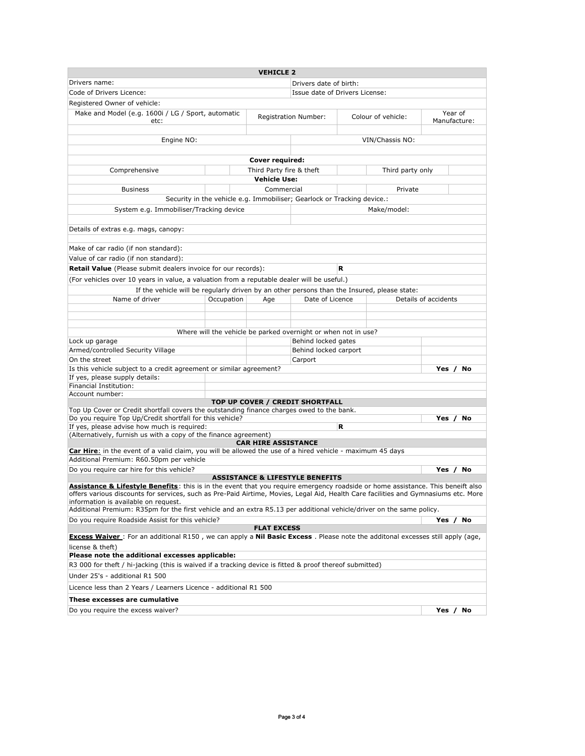|                                                                                                                                                                                                                                                                        |            | <b>VEHICLE 2</b>            |                                                                                       |                    |                      |                         |          |
|------------------------------------------------------------------------------------------------------------------------------------------------------------------------------------------------------------------------------------------------------------------------|------------|-----------------------------|---------------------------------------------------------------------------------------|--------------------|----------------------|-------------------------|----------|
| Drivers name:                                                                                                                                                                                                                                                          |            | Drivers date of birth:      |                                                                                       |                    |                      |                         |          |
| Code of Drivers Licence:                                                                                                                                                                                                                                               |            |                             | Issue date of Drivers License:                                                        |                    |                      |                         |          |
| Registered Owner of vehicle:                                                                                                                                                                                                                                           |            |                             |                                                                                       |                    |                      |                         |          |
| Make and Model (e.g. 1600i / LG / Sport, automatic<br>etc:                                                                                                                                                                                                             |            | <b>Registration Number:</b> |                                                                                       | Colour of vehicle: |                      | Year of<br>Manufacture: |          |
|                                                                                                                                                                                                                                                                        |            |                             |                                                                                       |                    |                      |                         |          |
| Engine NO:                                                                                                                                                                                                                                                             |            |                             |                                                                                       |                    | VIN/Chassis NO:      |                         |          |
|                                                                                                                                                                                                                                                                        |            | Cover required:             |                                                                                       |                    |                      |                         |          |
| Comprehensive                                                                                                                                                                                                                                                          |            |                             | Third Party fire & theft<br>Third party only                                          |                    |                      |                         |          |
|                                                                                                                                                                                                                                                                        |            | <b>Vehicle Use:</b>         |                                                                                       |                    |                      |                         |          |
| <b>Business</b>                                                                                                                                                                                                                                                        |            | Commercial                  |                                                                                       |                    | Private              |                         |          |
|                                                                                                                                                                                                                                                                        |            |                             | Security in the vehicle e.g. Immobiliser; Gearlock or Tracking device.:               |                    |                      |                         |          |
| System e.g. Immobiliser/Tracking device                                                                                                                                                                                                                                |            |                             |                                                                                       |                    | Make/model:          |                         |          |
|                                                                                                                                                                                                                                                                        |            |                             |                                                                                       |                    |                      |                         |          |
| Details of extras e.g. mags, canopy:                                                                                                                                                                                                                                   |            |                             |                                                                                       |                    |                      |                         |          |
| Make of car radio (if non standard):                                                                                                                                                                                                                                   |            |                             |                                                                                       |                    |                      |                         |          |
| Value of car radio (if non standard):                                                                                                                                                                                                                                  |            |                             |                                                                                       |                    |                      |                         |          |
| Retail Value (Please submit dealers invoice for our records):                                                                                                                                                                                                          |            |                             |                                                                                       | R                  |                      |                         |          |
| (For vehicles over 10 years in value, a valuation from a reputable dealer will be useful.)                                                                                                                                                                             |            |                             |                                                                                       |                    |                      |                         |          |
| If the vehicle will be regularly driven by an other persons than the Insured, please state:                                                                                                                                                                            |            |                             |                                                                                       |                    |                      |                         |          |
| Name of driver                                                                                                                                                                                                                                                         | Occupation | Age                         | Date of Licence                                                                       |                    | Details of accidents |                         |          |
|                                                                                                                                                                                                                                                                        |            |                             |                                                                                       |                    |                      |                         |          |
|                                                                                                                                                                                                                                                                        |            |                             |                                                                                       |                    |                      |                         |          |
|                                                                                                                                                                                                                                                                        |            |                             |                                                                                       |                    |                      |                         |          |
| Lock up garage                                                                                                                                                                                                                                                         |            |                             | Where will the vehicle be parked overnight or when not in use?<br>Behind locked gates |                    |                      |                         |          |
| Armed/controlled Security Village                                                                                                                                                                                                                                      |            |                             | Behind locked carport                                                                 |                    |                      |                         |          |
| On the street                                                                                                                                                                                                                                                          |            |                             | Carport                                                                               |                    |                      |                         |          |
| Is this vehicle subject to a credit agreement or similar agreement?                                                                                                                                                                                                    |            |                             |                                                                                       |                    |                      |                         | Yes / No |
| If yes, please supply details:                                                                                                                                                                                                                                         |            |                             |                                                                                       |                    |                      |                         |          |
| Financial Institution:                                                                                                                                                                                                                                                 |            |                             |                                                                                       |                    |                      |                         |          |
| Account number:                                                                                                                                                                                                                                                        |            |                             |                                                                                       |                    |                      |                         |          |
| Top Up Cover or Credit shortfall covers the outstanding finance charges owed to the bank.                                                                                                                                                                              |            |                             | TOP UP COVER / CREDIT SHORTFALL                                                       |                    |                      |                         |          |
| Do you require Top Up/Credit shortfall for this vehicle?                                                                                                                                                                                                               |            |                             |                                                                                       |                    |                      | Yes                     | No       |
| If yes, please advise how much is required:                                                                                                                                                                                                                            |            |                             |                                                                                       | R                  |                      |                         |          |
| (Alternatively, furnish us with a copy of the finance agreement)                                                                                                                                                                                                       |            |                             |                                                                                       |                    |                      |                         |          |
|                                                                                                                                                                                                                                                                        |            | <b>CAR HIRE ASSISTANCE</b>  |                                                                                       |                    |                      |                         |          |
| Car Hire: in the event of a valid claim, you will be allowed the use of a hired vehicle - maximum 45 days<br>Additional Premium: R60.50pm per vehicle                                                                                                                  |            |                             |                                                                                       |                    |                      |                         |          |
| Do you require car hire for this vehicle?                                                                                                                                                                                                                              |            |                             |                                                                                       |                    |                      |                         | Yes / No |
|                                                                                                                                                                                                                                                                        |            |                             | <b>ASSISTANCE &amp; LIFESTYLE BENEFITS</b>                                            |                    |                      |                         |          |
| Assistance & Lifestyle Benefits: this is in the event that you require emergency roadside or home assistance. This beneift also<br>offers various discounts for services, such as Pre-Paid Airtime, Movies, Legal Aid, Health Care facilities and Gymnasiums etc. More |            |                             |                                                                                       |                    |                      |                         |          |
| information is available on request.<br>Additional Premium: R35pm for the first vehicle and an extra R5.13 per additional vehicle/driver on the same policy.                                                                                                           |            |                             |                                                                                       |                    |                      |                         |          |
| Do you require Roadside Assist for this vehicle?<br>Yes / No                                                                                                                                                                                                           |            |                             |                                                                                       |                    |                      |                         |          |
|                                                                                                                                                                                                                                                                        |            | <b>FLAT EXCESS</b>          |                                                                                       |                    |                      |                         |          |
| <b>Excess Waiver</b> : For an additional R150, we can apply a <b>Nil Basic Excess</b> . Please note the additonal excesses still apply (age,<br>license & theft)                                                                                                       |            |                             |                                                                                       |                    |                      |                         |          |
| Please note the additional excesses applicable:<br>R3 000 for theft / hi-jacking (this is waived if a tracking device is fitted & proof thereof submitted)                                                                                                             |            |                             |                                                                                       |                    |                      |                         |          |
| Under 25's - additional R1 500                                                                                                                                                                                                                                         |            |                             |                                                                                       |                    |                      |                         |          |
| Licence less than 2 Years / Learners Licence - additional R1 500                                                                                                                                                                                                       |            |                             |                                                                                       |                    |                      |                         |          |
| These excesses are cumulative                                                                                                                                                                                                                                          |            |                             |                                                                                       |                    |                      |                         |          |
|                                                                                                                                                                                                                                                                        |            |                             |                                                                                       |                    |                      | Yes $/$                 | No       |
| Do you require the excess waiver?                                                                                                                                                                                                                                      |            |                             |                                                                                       |                    |                      |                         |          |